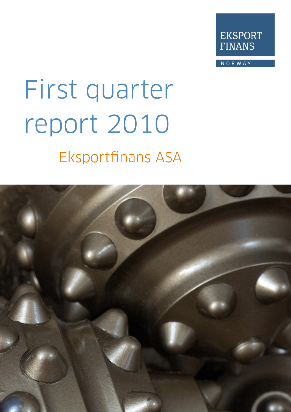

NORWAY

# First quarter report 2010 **Eksportfinans ASA**

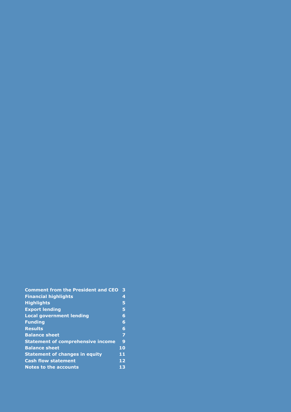| <b>Comment from the President and CEO</b> | 3            |
|-------------------------------------------|--------------|
| <b>Financial highlights</b>               | 4            |
| <b>Highlights</b>                         | 5            |
| <b>Export lending</b>                     | 5            |
| <b>Local government lending</b>           | 6            |
| <b>Funding</b>                            | 6            |
| <b>Results</b>                            | 6            |
| <b>Balance sheet</b>                      | 7            |
| <b>Statement of comprehensive income</b>  | $\mathbf{9}$ |
| <b>Balance sheet</b>                      | 10           |
| <b>Statement of changes in equity</b>     | 11           |
| <b>Cash flow statement</b>                | 12           |
| Notes to the accounts                     | 13           |
|                                           |              |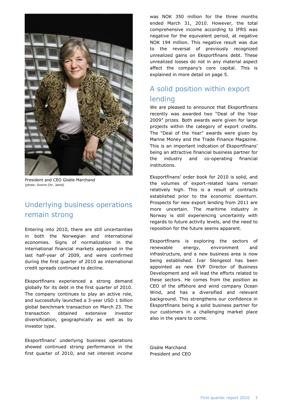

President and CEO Gisèle Marchand (photo: Sverre Chr. Jarlid)

#### Underlying business operations remain strong

Entering into 2010, there are still uncertainties in both the Norwegian and international economies. Signs of normalization in the international financial markets appeared in the last half-year of 2009, and were confirmed during the first quarter of 2010 as international credit spreads continued to decline.

Eksportfinans experienced a strong demand globally for its debt in the first quarter of 2010. The company continues to play an active role, and successfully launched a 3-year USD 1 billion global benchmark transaction on March 23. The transaction obtained extensive investor diversification, geographically as well as by investor type.

Eksportfinans" underlying business operations showed continued strong performance in the first quarter of 2010, and net interest income

was NOK 350 million for the three months ended March 31, 2010. However, the total comprehensive income according to IFRS was negative for the equivalent period, at negative NOK 194 million. This negative result was due to the reversal of previously recognized unrealized gains on Eksportfinans debt. These unrealized losses do not in any material aspect affect the company's core capital. This is explained in more detail on page 5.

## A solid position within export lending

We are pleased to announce that Eksportfinans recently was awarded two "Deal of the Year 2009" prizes. Both awards were given for large projects within the category of export credits. The "Deal of the Year" awards were given by Marine Money and the Trade Finance Magazine. This is an important indication of Eksportfinans" being an attractive financial business partner for the industry and co-operating financial institutions.

Eksportfinans" order book for 2010 is solid, and the volumes of export-related loans remain relatively high. This is a result of contracts established prior to the economic downturn. Prospects for new export lending from 2011 are more uncertain. The maritime industry in Norway is still experiencing uncertainty with regards to future activity levels, and the need to reposition for the future seems apparent.

Eksportfinans is exploring the sectors of renewable energy, environment and infrastructure, and a new business area is now being established. Ivar Slengesol has been appointed as new EVP Director of Business Development and will lead the efforts related to these sectors. He comes from the position as CEO of the offshore and wind company Ocean Wind, and has a diversified and relevant background. This strengthens our confidence in Eksportfinans being a solid business partner for our customers in a challenging market place also in the years to come.

Gisèle Marchand President and CEO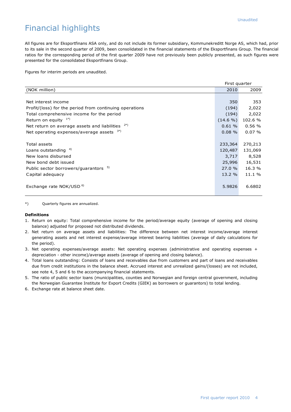## Financial highlights

All figures are for Eksportfinans ASA only, and do not include its former subsidiary, Kommunekreditt Norge AS, which had, prior to its sale in the second quarter of 2009, been consolidated in the financial statements of the Eksportfinans Group. The financial ratios for the corresponding period of the first quarter 2009 have not previously been publicly presented, as such figures were presented for the consolidated Eksportfinans Group.

Figures for interim periods are unaudited.

|                                                         | First quarter |         |
|---------------------------------------------------------|---------------|---------|
| (NOK million)                                           | 2010          | 2009    |
|                                                         |               |         |
| Net interest income                                     | 350           | 353     |
| Profit/(loss) for the period from continuing operations | (194)         | 2,022   |
| Total comprehensive income for the period               | (194)         | 2,022   |
| Return on equity $1^*$                                  | $(14.6\% )$   | 102.6 % |
| $2^*)$<br>Net return on average assets and liabilities  | 0.61%         | 0.56%   |
| 3*)<br>Net operating expenses/average assets            | $0.08 \%$     | 0.07%   |
|                                                         |               |         |
| Total assets                                            | 233,364       | 270,213 |
| Loans outstanding $4)$                                  | 120,487       | 131,069 |
| New loans disbursed                                     | 3,717         | 8,528   |
| New bond debt issued                                    | 25,996        | 16,531  |
| 5)<br>Public sector borrowers/guarantors                | 27.0%         | 16.3 %  |
| Capital adequacy                                        | 13.2%         | 11.1 %  |
|                                                         |               |         |
| Exchange rate NOK/USD <sup>6)</sup>                     | 5.9826        | 6.6802  |
|                                                         |               |         |

\*) Quarterly figures are annualized.

#### **Definitions**

- 1. Return on equity: Total comprehensive income for the period/average equity (average of opening and closing balance) adjusted for proposed not distributed dividends.
- 2. Net return on average assets and liabilities: The difference between net interest income/average interest generating assets and net interest expense/average interest bearing liabilities (average of daily calculations for the period).
- 3. Net operating expenses/average assets: Net operating expenses (administrative and operating expenses + depreciation - other income)/average assets (average of opening and closing balance).
- 4. Total loans outstanding: Consists of loans and receivables due from customers and part of loans and receivables due from credit institutions in the balance sheet. Accrued interest and unrealized gains/(losses) are not included, see note 4, 5 and 6 to the accompanying financial statements.
- 5. The ratio of public sector loans (municipalities, counties and Norwegian and foreign central government, including the Norwegian Guarantee Institute for Export Credits (GIEK) as borrowers or guarantors) to total lending.
- 6. Exchange rate at balance sheet date.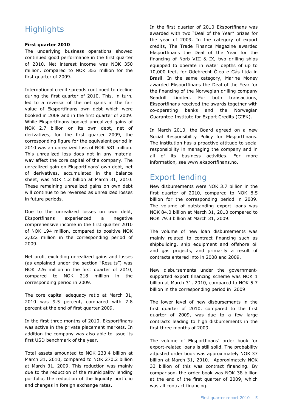# **Highlights**

#### **First quarter 2010**

The underlying business operations showed continued good performance in the first quarter of 2010. Net interest income was NOK 350 million, compared to NOK 353 million for the first quarter of 2009.

International credit spreads continued to decline during the first quarter of 2010. This, in turn, led to a reversal of the net gains in the fair value of Eksportfinans own debt which were booked in 2008 and in the first quarter of 2009. While Eksportfinans booked unrealized gains of NOK 2.7 billion on its own debt, net of derivatives, for the first quarter 2009, the corresponding figure for the equivalent period in 2010 was an unrealized loss of NOK 581 million. This unrealized loss does not in any material way affect the core capital of the company. The unrealized gain on Eksportfinans' own debt, net of derivatives, accumulated in the balance sheet, was NOK 1.2 billion at March 31, 2010. These remaining unrealized gains on own debt will continue to be reversed as unrealized losses in future periods.

Due to the unrealized losses on own debt, Eksportfinans experienced a negative comprehensive income in the first quarter 2010 of NOK 194 million, compared to positive NOK 2,022 million in the corresponding period of 2009.

Net profit excluding unrealized gains and losses (as explained under the section "Results") was NOK 226 million in the first quarter of 2010, compared to NOK 218 million in the corresponding period in 2009.

The core capital adequacy ratio at March 31, 2010 was 9.5 percent, compared with 7.8 percent at the end of first quarter 2009.

In the first three months of 2010, Eksportfinans was active in the private placement markets. In addition the company was also able to issue its first USD benchmark of the year.

Total assets amounted to NOK 233.4 billion at March 31, 2010, compared to NOK 270.2 billion at March 31, 2009. This reduction was mainly due to the reduction of the municipality lending portfolio, the reduction of the liquidity portfolio and changes in foreign exchange rates.

In the first quarter of 2010 Eksportfinans was awarded with two "Deal of the Year" prizes for the year of 2009. In the category of export credits, The Trade Finance Magazine awarded Eksportfinans the Deal of the Year for the financing of Norb VIII & IX, two drilling ships equipped to operate in water depths of up to 10,000 feet, for [Odebrecht](http://sc360web/growbusiness/locator.aspx?name=Common.Search.Global.InputView&word=%25odebrecht%20%20odebrecht) [Óleo](http://sc360web/growbusiness/locator.aspx?name=Common.Search.Global.InputView&word=%25odebrecht%20%20óleo) [e](http://sc360web/growbusiness/locator.aspx?name=Common.Search.Global.InputView&word=%25odebrecht%20%20e) [Gás](http://sc360web/growbusiness/locator.aspx?name=Common.Search.Global.InputView&word=%25odebrecht%20%20gás) [Ltda](http://sc360web/growbusiness/locator.aspx?name=Common.Search.Global.InputView&word=%25odebrecht%20%20ltda) in Brasil. In the same category, Marine Money awarded Eksportfinans the Deal of the Year for the financing of the Norwegian drilling company Seadrill Limited. For both transactions, Eksportfinans received the awards together with co-operating banks and the Norwegian Guarantee Institute for Export Credits (GIEK).

In March 2010, the Board agreed on a new Social Responsibility Policy for Eksportfinans. The institution has a proactive attitude to social responsibility in managing the company and in all of its business activities. For more information, see www.eksportfinans.no.

## Export lending

New disbursements were NOK 3.7 billion in the first quarter of 2010, compared to NOK 8.5 billion for the corresponding period in 2009. The volume of outstanding export loans was NOK 84.0 billion at March 31, 2010 compared to NOK 79.3 billion at March 31, 2009.

The volume of new loan disbursements was mainly related to contract financing such as shipbuilding, ship equipment and offshore oil and gas projects, and primarily a result of contracts entered into in 2008 and 2009.

New disbursements under the governmentsupported export financing scheme was NOK 1 billion at March 31, 2010, compared to NOK 5.7 billion in the corresponding period in 2009.

The lower level of new disbursements in the first quarter of 2010, compared to the first quarter of 2009, was due to a few large contracts leading to high disbursements in the first three months of 2009.

The volume of Eksportfinans" order book for export-related loans is still solid. The probability adjusted order book was approximately NOK 37 billion at March 31, 2010. Approximately NOK 33 billion of this was contract financing. By comparison, the order book was NOK 38 billion at the end of the first quarter of 2009, which was all contract financing.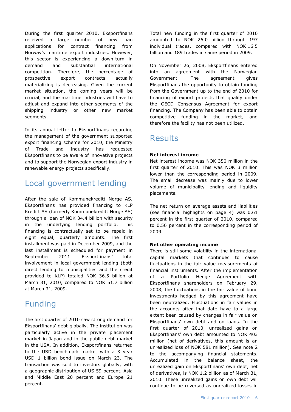During the first quarter 2010, Eksportfinans received a large number of new loan applications for contract financing from Norway"s maritime export industries. However, this sector is experiencing a down-turn in demand and substantial international competition. Therefore, the percentage of prospective export contracts actually materializing is decreasing. Given the current market situation, the coming years will be crucial, and the maritime industries will have to adjust and expand into other segments of the shipping industry or other new market segments.

In its annual letter to Eksportfinans regarding the management of the government supported export financing scheme for 2010, the Ministry of Trade and Industry has requested Eksportfinans to be aware of innovative projects and to support the Norwegian export industry in renewable energy projects specifically.

## Local government lending

After the sale of Kommunekreditt Norge AS, Eksportfinans has provided financing to KLP Kreditt AS (formerly Kommunekreditt Norge AS) through a loan of NOK 34.4 billion with security in the underlying lending portfolio. This financing is contractually set to be repaid in eight equal, quarterly amounts. The first installment was paid in December 2009, and the last installment is scheduled for payment in September 2011. Eksportfinans' total involvement in local government lending (both direct lending to municipalities and the credit provided to KLP) totaled NOK 36.5 billion at March 31, 2010, compared to NOK 51.7 billion at March 31, 2009.

# Funding

The first quarter of 2010 saw strong demand for Eksportfinans" debt globally. The institution was particularly active in the private placement market in Japan and in the public debt market in the USA. In addition, Eksportfinans returned to the USD benchmark market with a 3 year USD 1 billion bond issue on March 23. The transaction was sold to investors globally, with a geographic distribution of US 59 percent, Asia and Middle East 20 percent and Europe 21 percent.

Total new funding in the first quarter of 2010 amounted to NOK 26.0 billion through 197 individual trades, compared with NOK 16.5 billion and 189 trades in same period in 2009.

On November 26, 2008, Eksportfinans entered into an agreement with the Norwegian Government. The agreement gives Eksportfinans the opportunity to obtain funding from the Government up to the end of 2010 for financing of export projects that qualify under the OECD Consensus Agreement for export financing. The Company has been able to obtain competitive funding in the market, and therefore the facility has not been utilized.

#### Results

#### **Net interest income**

Net interest income was NOK 350 million in the first quarter of 2010. This was NOK 3 million lower than the corresponding period in 2009. The small decrease was mainly due to lower volume of municipality lending and liquidity placements.

The net return on average assets and liabilities (see financial highlights on page 4) was 0.61 percent in the first quarter of 2010, compared to 0.56 percent in the corresponding period of 2009.

#### **Net other operating income**

There is still some volatility in the international capital markets that continues to cause fluctuations in the fair value measurements of financial instruments. After the implementation of a Portfolio Hedge Agreement with Eksportfinans shareholders on February 29, 2008, the fluctuations in the fair value of bond investments hedged by this agreement have been neutralized. Fluctuations in fair values in the accounts after that date have to a large extent been caused by changes in fair value on Eksportfinans" own debt and on loans. In the first quarter of 2010, unrealized gains on Eksportfinans" own debt amounted to NOK 403 million (net of derivatives, this amount is an unrealized loss of NOK 581 million). See note 2 to the accompanying financial statements. Accumulated in the balance sheet, the unrealized gain on Eksportfinans" own debt, net of derivatives, is NOK 1.2 billion as of March 31, 2010. These unrealized gains on own debt will continue to be reversed as unrealized losses in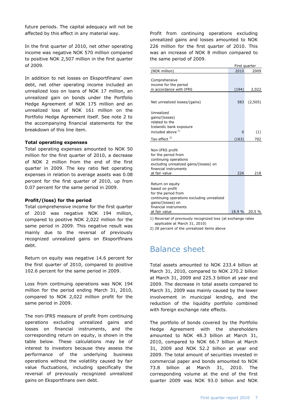future periods. The capital adequacy will not be affected by this effect in any material way.

In the first quarter of 2010, net other operating income was negative NOK 570 million compared to positive NOK 2,507 million in the first quarter of 2009.

In addition to net losses on Eksportfinans' own debt, net other operating income included an unrealized loss on loans of NOK 17 million, an unrealized gain on bonds under the Portfolio Hedge Agreement of NOK 175 million and an unrealized loss of NOK 161 million on the Portfolio Hedge Agreement itself. See note 2 to the accompanying financial statements for the breakdown of this line item.

#### **Total operating expenses**

Total operating expenses amounted to NOK 50 million for the first quarter of 2010, a decrease of NOK 2 million from the end of the first quarter in 2009. The key ratio Net operating expenses in relation to average assets was 0.08 percent for the first quarter of 2010, up from 0.07 percent for the same period in 2009.

#### **Profit/(loss) for the period**

Total comprehensive income for the first quarter of 2010 was negative NOK 194 million, compared to positive NOK 2,022 million for the same period in 2009. This negative result was mainly due to the reversal of previously recognized unrealized gains on Eksportfinans debt.

Return on equity was negative 14.6 percent for the first quarter of 2010, compared to positive 102.6 percent for the same period in 2009.

Loss from continuing operations was NOK 194 million for the period ending March 31, 2010, compared to NOK 2,022 million profit for the same period in 2009.

The non-IFRS measure of profit from continuing operations excluding unrealized gains and losses on financial instruments, and the corresponding return on equity, is shown in the table below. These calculations may be of interest to investors because they assess the performance of the underlying business operations without the volatility caused by fair value fluctuations, including specifically the reversal of previously recognized unrealized gains on Eksportfinans own debt.

Profit from continuing operations excluding unrealized gains and losses amounted to NOK 226 million for the first quarter of 2010. This was an increase of NOK 8 million compared to the same period of 2009.

|                                            | First quarter |         |
|--------------------------------------------|---------------|---------|
| (NOK million)                              | 2010          | 2009    |
|                                            |               |         |
| Comprehensive                              |               |         |
| income for the period                      |               |         |
| in accordance with IFRS                    | (194)         | 2,022   |
|                                            |               |         |
| Net unrealized losses/(gains)              | 583           | (2,505) |
| Unrealized                                 |               |         |
| gains/(losses)                             |               |         |
| related to the                             |               |         |
| Icelandic bank exposure                    |               |         |
| included above 1)                          | 0             |         |
|                                            |               | (1)     |
| Tax-effect <sup>2)</sup>                   | (163)         | 702     |
|                                            |               |         |
| Non-IFRS profit                            |               |         |
| for the period from                        |               |         |
| continuing operations                      |               |         |
| excluding unrealized gains/(losses) on     |               |         |
| financial instruments                      |               |         |
| at fair value                              | 226           | 218     |
|                                            |               |         |
| Return on equity                           |               |         |
| based on profit                            |               |         |
| for the period from                        |               |         |
| continuing operations excluding unrealized |               |         |
| gains/(losses) on                          |               |         |
| financial instruments                      |               |         |
| at fair value                              | 18.9 %        | 20.5 %  |
|                                            |               |         |

1) Reversal of previously recognized loss (at exchange rates applicable at March 31, 2010)

2) 28 percent of the unrealized items above

## Balance sheet

Total assets amounted to NOK 233.4 billion at March 31, 2010, compared to NOK 270.2 billion at March 31, 2009 and 225.3 billion at year end 2009. The decrease in total assets compared to March 31, 2009 was mainly caused by the lower involvement in municipal lending, and the reduction of the liquidity portfolio combined with foreign exchange rate effects.

The portfolio of bonds covered by the Portfolio Hedge Agreement with the shareholders amounted to NOK 48.3 billion at March 31, 2010, compared to NOK 66.7 billion at March 31, 2009 and NOK 52.2 billion at year end 2009. The total amount of securities invested in commercial paper and bonds amounted to NOK 73.8 billion at March 31, 2010. The corresponding volume at the end of the first quarter 2009 was NOK 93.0 billion and NOK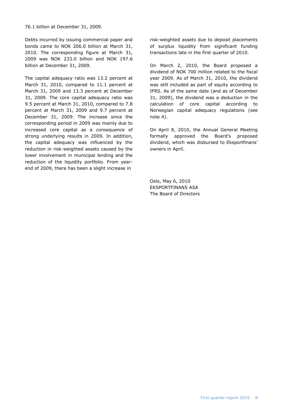Debts incurred by issuing commercial paper and bonds came to NOK 206.0 billion at March 31, 2010. The corresponding figure at March 31, 2009 was NOK 233.0 billion and NOK 197.6 billion at December 31, 2009.

The capital adequacy ratio was 13.2 percent at March 31, 2010, compared to 11.1 percent at March 31, 2009 and 13.3 percent at December 31, 2009. The core capital adequacy ratio was 9.5 percent at March 31, 2010, compared to 7.8 percent at March 31, 2009 and 9.7 percent at December 31, 2009. The increase since the corresponding period in 2009 was mainly due to increased core capital as a consequence of strong underlying results in 2009. In addition, the capital adequacy was influenced by the reduction in risk-weighted assets caused by the lower involvement in municipal lending and the reduction of the liquidity portfolio. From yearend of 2009, there has been a slight increase in

risk-weighted assets due to deposit placements of surplus liquidity from significant funding transactions late in the first quarter of 2010.

On March 2, 2010, the Board proposed a dividend of NOK 700 million related to the fiscal year 2009. As of March 31, 2010, the dividend was still included as part of equity according to IFRS. As of the same date (and as of December 31, 2009), the dividend was a deduction in the calculation of core capital according to Norwegian capital adequacy regulations (see note 4).

On April 8, 2010, the Annual General Meeting formally approved the Board"s proposed dividend, which was disbursed to Eksportfinans" owners in April.

Oslo, May 6, 2010 EKSPORTFINANS ASA The Board of Directors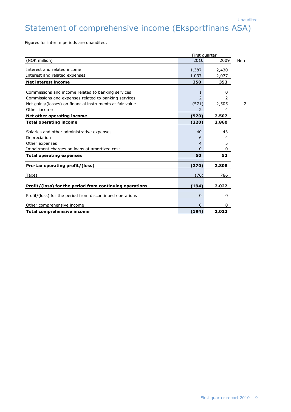# Statement of comprehensive income (Eksportfinans ASA)

Figures for interim periods are unaudited.

|                                                           |               | First quarter |      |  |
|-----------------------------------------------------------|---------------|---------------|------|--|
| (NOK million)                                             | 2010          | 2009          | Note |  |
| Interest and related income                               | 1,387         | 2,430         |      |  |
| Interest and related expenses                             | 1,037         | 2,077         |      |  |
| <b>Net interest income</b>                                | 350           | 353           |      |  |
|                                                           |               |               |      |  |
| Commissions and income related to banking services        | 1             | 0             |      |  |
| Commissions and expenses related to banking services      | $\mathcal{P}$ | 2             |      |  |
| Net gains/(losses) on financial instruments at fair value | (571)         | 2,505         | 2    |  |
| Other income                                              | 2             | 4             |      |  |
| Net other operating income                                | (570)         | 2,507         |      |  |
| <b>Total operating income</b>                             | (220)         | 2,860         |      |  |
| Salaries and other administrative expenses                | 40            | 43            |      |  |
| Depreciation                                              | 6             | 4             |      |  |
| Other expenses                                            | 4             | 5             |      |  |
| Impairment charges on loans at amortized cost             | 0             | 0             |      |  |
| <b>Total operating expenses</b>                           | 50            | 52            |      |  |
| Pre-tax operating profit/(loss)                           | (270)         | 2,808         |      |  |
|                                                           |               |               |      |  |
| Taxes                                                     | (76)          | 786           |      |  |
| Profit/(loss) for the period from continuing operations   | (194)         | 2,022         |      |  |
| Profit/(loss) for the period from discontinued operations | 0             | 0             |      |  |
| Other comprehensive income                                | $\Omega$      | 0             |      |  |
| <b>Total comprehensive income</b>                         | (194)         | 2,022         |      |  |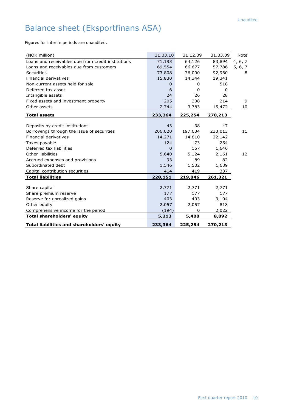# Balance sheet (Eksportfinans ASA)

Figures for interim periods are unaudited.

| (NOK million)                                      | 31.03.10 | 31.12.09 | 31.03.09 | Note    |
|----------------------------------------------------|----------|----------|----------|---------|
| Loans and receivables due from credit institutions | 71,193   | 64,126   | 83,894   | 4, 6, 7 |
| Loans and receivables due from customers           | 69,554   | 66,677   | 57,786   | 5, 6, 7 |
| Securities                                         | 73,808   | 76,090   | 92,960   | 8       |
| Financial derivatives                              | 15,830   | 14,344   | 19,341   |         |
| Non-current assets held for sale                   | 0        | 0        | 518      |         |
| Deferred tax asset                                 | 6        | 0        | $\Omega$ |         |
| Intangible assets                                  | 24       | 26       | 28       |         |
| Fixed assets and investment property               | 205      | 208      | 214      | 9       |
| Other assets                                       | 2,744    | 3,783    | 15,472   | 10      |
| <b>Total assets</b>                                | 233,364  | 225,254  | 270,213  |         |
|                                                    |          |          |          |         |
| Deposits by credit institutions                    | 43       | 38       | 47       |         |
| Borrowings through the issue of securities         | 206,020  | 197,634  | 233,013  | 11      |
| <b>Financial derivatives</b>                       | 14,271   | 14,810   | 22,142   |         |
| Taxes payable                                      | 124      | 73       | 254      |         |
| Deferred tax liabilities                           | $\Omega$ | 157      | 1,646    |         |
| Other liabilities                                  | 5,640    | 5,124    | 2,161    | 12      |
| Accrued expenses and provisions                    | 93       | 89       | 82       |         |
| Subordinated debt                                  | 1,546    | 1,502    | 1,639    |         |
| Capital contribution securities                    | 414      | 419      | 337      |         |
| <b>Total liabilities</b>                           | 228,151  | 219,846  | 261,321  |         |
|                                                    |          |          |          |         |
| Share capital                                      | 2,771    | 2,771    | 2,771    |         |
| Share premium reserve                              | 177      | 177      | 177      |         |
| Reserve for unrealized gains                       | 403      | 403      | 3,104    |         |
| Other equity                                       | 2,057    | 2,057    | 818      |         |
| Comprehensive income for the period                | (194)    | 0        | 2,022    |         |
| <b>Total shareholders' equity</b>                  | 5,213    | 5,408    | 8,892    |         |
| <b>Total liabilities and shareholders' equity</b>  | 233,364  | 225,254  | 270,213  |         |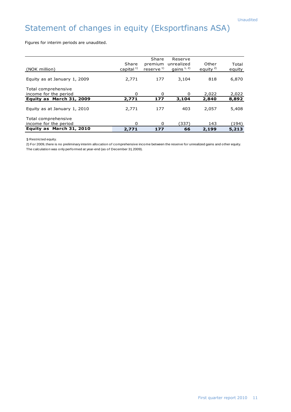# Statement of changes in equity (Eksportfinans ASA)

Figures for interim periods are unaudited.

| (NOK million)                                                            | Share<br>capital $^{1)}$ | Share<br>premium<br>reserve <sup>1)</sup> | Reserve<br>unrealized<br>gains $1, 2$ | Other<br>equity $2$ | Total<br>equity |
|--------------------------------------------------------------------------|--------------------------|-------------------------------------------|---------------------------------------|---------------------|-----------------|
| Equity as at January 1, 2009                                             | 2,771                    | 177                                       | 3,104                                 | 818                 | 6,870           |
| Total comprehensive<br>income for the period<br>Equity as March 31, 2009 | 0<br>2,771               | 0<br>177                                  | 0<br>3,104                            | 2,022<br>2,840      | 2,022<br>8,892  |
| Equity as at January 1, 2010                                             | 2,771                    | 177                                       | 403                                   | 2,057               | 5,408           |
| Total comprehensive<br>income for the period<br>Equity as March 31, 2010 | $\Omega$<br>2,771        | $\Omega$<br>177                           | 337)<br>66                            | 143<br>2,199        | (194)<br>5,213  |

1) Restricted equity.

2) For 2009, there is no preliminary interim allocation of comprehensive income between the reserve for unrealized gains and other equity. The calculation was only performed at year-end (as of December 31, 2009).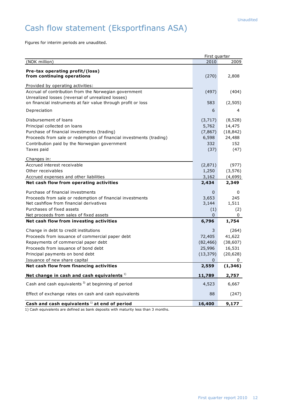# Cash flow statement (Eksportfinans ASA)

Figures for interim periods are unaudited.

|                                                                     | First quarter  |           |
|---------------------------------------------------------------------|----------------|-----------|
| (NOK million)                                                       | 2010           | 2009      |
| Pre-tax operating profit/(loss)                                     |                |           |
| from continuing operations                                          | (270)          | 2,808     |
| Provided by operating activities:                                   |                |           |
| Accrual of contribution from the Norwegian government               | (497)          | (404)     |
| Unrealized losses (reversal of unrealized losses)                   |                |           |
| on financial instruments at fair value through profit or loss       | 583            | (2, 505)  |
| Depreciation                                                        | 6              | 4         |
| Disbursement of loans                                               | (3,717)        | (8, 528)  |
| Principal collected on loans                                        | 5,762          | 14,475    |
| Purchase of financial investments (trading)                         | (7, 867)       | (18, 842) |
| Proceeds from sale or redemption of financial investments (trading) | 6,598          | 24,488    |
| Contribution paid by the Norwegian government                       | 332            | 152       |
| Taxes paid                                                          | (37)           | (47)      |
| Changes in:                                                         |                |           |
| Accrued interest receivable                                         | (2,871)        | (977)     |
| Other receivables                                                   | 1,250          | (3, 576)  |
| Accrued expenses and other liabilities                              | 3,162          | (4,699)   |
| Net cash flow from operating activities                             | 2,434          | 2,349     |
| Purchase of financial investments                                   | 0              | 0         |
| Proceeds from sale or redemption of financial investments           | 3,653          | 245       |
| Net cashflow from financial derivatives                             | 3,144          | 1,511     |
| Purchases of fixed assets                                           | (1)            | (2)       |
| Net proceeds from sales of fixed assets                             | $\overline{0}$ | 0         |
| Net cash flow from investing activities                             | 6,796          | 1,754     |
| Change in debt to credit institutions                               | 3              | (264)     |
| Proceeds from issuance of commercial paper debt                     | 72,405         | 41,622    |
| Repayments of commercial paper debt                                 | (82, 466)      | (38, 607) |
| Proceeds from issuance of bond debt                                 | 25,996         | 16,531    |
| Principal payments on bond debt                                     | (13, 379)      | (20, 628) |
| Issuance of new share capital                                       | $\Omega$       | $\Omega$  |
| Net cash flow from financing activities                             | 2,559          | (1, 346)  |
| Net change in cash and cash equivalents <sup>1)</sup>               | 11,789         | 2,757     |
| Cash and cash equivalents <sup>3)</sup> at beginning of period      | 4,523          | 6,667     |
| Effect of exchange rates on cash and cash equivalents               | 88             | (247)     |
| Cash and cash equivalents $1$ at end of period                      | 16,400         | 9,177     |

1) Cash equivalents are defined as bank deposits with maturity less than 3 months.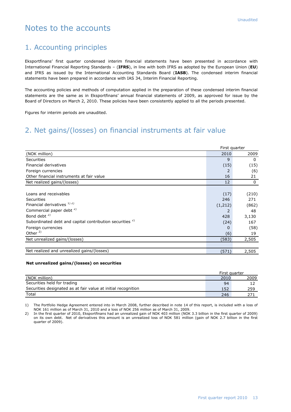## Notes to the accounts

## 1. Accounting principles

Eksportfinans" first quarter condensed interim financial statements have been presented in accordance with International Financial Reporting Standards – (**IFRS**), in line with both IFRS as adopted by the European Union (**EU**) and IFRS as issued by the International Accounting Standards Board (**IASB**). The condensed interim financial statements have been prepared in accordance with IAS 34, Interim Financial Reporting.

The accounting policies and methods of computation applied in the preparation of these condensed interim financial statements are the same as in Eksportfinans" annual financial statements of 2009, as approved for issue by the Board of Directors on March 2, 2010. These policies have been consistently applied to all the periods presented.

Figures for interim periods are unaudited.

#### 2. Net gains/(losses) on financial instruments at fair value

|                                                                     | First quarter |       |
|---------------------------------------------------------------------|---------------|-------|
| (NOK million)                                                       | 2010          | 2009  |
| Securities                                                          | 9             | 0     |
| Financial derivatives                                               | (15)          | (15)  |
| Foreign currencies                                                  |               | (6)   |
| Other financial instruments at fair value                           | 16            | 21    |
| Net realized gains/(losses)                                         | 12            | 0     |
|                                                                     |               |       |
| Loans and receivables                                               | (17)          | (210) |
| Securities                                                          | 246           | 271   |
| Financial derivatives 1) 2)                                         | (1,212)       | (862) |
| Commercial paper debt <sup>2)</sup>                                 |               | 48    |
| Bond debt $2$ )                                                     | 428           | 3,130 |
| Subordinated debt and capital contribution securities <sup>2)</sup> | (24)          | 167   |
| Foreign currencies                                                  | $\Omega$      | (58)  |
| Other $^{2)}$                                                       | (6)           | 19    |
| Net unrealized gains/(losses)                                       | (583)         | 2,505 |
|                                                                     |               |       |
| Net realized and unrealized gains/(losses)                          | (571)         | 2,505 |

#### **Net unrealized gains/(losses) on securities**

|                                                               |      | First quarter |
|---------------------------------------------------------------|------|---------------|
| (NOK million)                                                 | 2010 | 2009          |
| Securities held for trading                                   | 94   |               |
| Securities designated as at fair value at initial recognition | 152  | 259           |
| Total                                                         | 246  |               |

1) The Portfolio Hedge Agreement entered into in March 2008, further described in note 14 of this report, is included with a loss of NOK 161 million as of March 31, 2010 and a loss of NOK 256 million as of March 31, 2009.

2) In the first quarter of 2010, Eksportfinans had an unrealized gain of NOK 403 million (NOK 3.3 billion in the first quarter of 2009) on its own debt. Net of derivatives this amount is an unrealized loss of NOK 581 million (gain of NOK 2.7 billion in the first quarter of 2009).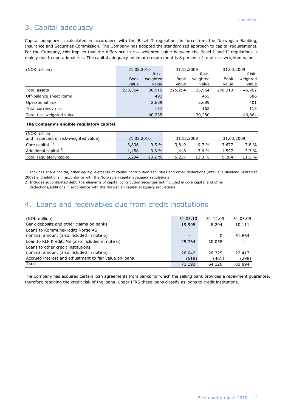## 3. Capital adequacy

Capital adequacy is calculated in accordance with the Basel II regulations in force from the Norwegian Banking, Insurance and Securities Commission. The Company has adopted the standardized approach to capital requirements. For the Company, this implies that the difference in risk-weighted value between the Basel I and II regulations is mainly due to operational risk. The capital adequacy minimum requirement is 8 percent of total risk-weighted value.

| (NOK million)             | 31.03.2010  |          | 31.12.2009 |          | 31.03.2009  |          |
|---------------------------|-------------|----------|------------|----------|-------------|----------|
|                           | Risk-       |          | Risk-      |          |             | Risk-    |
|                           | <b>Book</b> | weighted | Book       | weighted | <b>Book</b> | weighted |
|                           | value       | value    | value      | value    | value       | value    |
| Total assets              | 233,364     | 36,916   | 225,254    | 35,964   | 270,213     | 45,762   |
| Off-balance sheet items   |             | 492      |            | 465      |             | 586      |
| Operational risk          |             | 2,689    |            | 2,689    |             | 401      |
| Total currency risk       |             | 137      |            | 162      |             | 115      |
| Total risk-weighted value |             | 40,235   |            | 39,280   |             | 46,864   |

#### **The Company's eligible regulatory capital**

| (NOK million                           |            |       |            |         |            |         |
|----------------------------------------|------------|-------|------------|---------|------------|---------|
| and in percent of risk-weighted value) | 31.03.2010 |       | 31.12.2009 |         | 31.03.2009 |         |
| Core capital $1$                       | 3,836      | 9.5%  | 3,819      | 9.7 %   | 3,677      | 7.8 %   |
| Additional capital <sup>2)</sup>       | 1.458      | 3.6%  | 1,418      | $3.6\%$ | 1,527      | $3.3\%$ |
| Total regulatory capital               | 5,294      | 13.2% | 5,237      | 13.3 %  | 5,204      | 11.1 %  |

1) Includes share capital, other equity, elements of capital contribution securities and other deductions (inter alia dividend related to 2009) and additions in accordance with the Norwegian capital adequacy regulations.

2) Includes subordinated debt, the elements of capital contribution securities not included in core capital and other

deductions/additions in accordance with the Norwegian capital adequacy regulations.

#### 4. Loans and receivables due from credit institutions

| (NOK million)                                          | 31.03.10                 | 31.12.09 | 31.03.09 |
|--------------------------------------------------------|--------------------------|----------|----------|
| Bank deposits and other claims on banks                | 19,905                   | 8,204    | 10,111   |
| Loans to Kommunekreditt Norge AS,                      |                          |          |          |
| nominal amount (also included in note 6)               | $\overline{\phantom{0}}$ | 0        | 51,664   |
| Loan to KLP Kreditt AS (also included in note 6)       | 25,764                   | 30,058   |          |
| Loans to other credit institutions,                    |                          |          |          |
| nominal amount (also included in note 6)               | 26,042                   | 26,325   | 22,417   |
| Accrued interest and adjustment to fair value on loans | (518)                    | (461)    | (298)    |
| Total                                                  | 71,193                   | 64,126   | 83,894   |

The Company has acquired certain loan agreements from banks for which the selling bank provides a repayment guarantee, therefore retaining the credit risk of the loans. Under IFRS these loans classify as loans to credit institutions.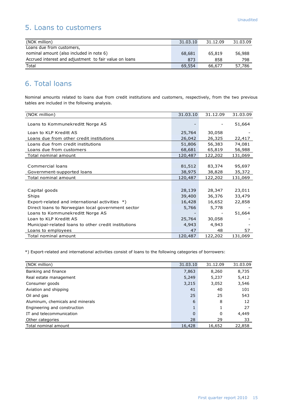## 5. Loans to customers

| (NOK million)                                          | 31.03.10 | 31.12.09 | 31.03.09 |
|--------------------------------------------------------|----------|----------|----------|
| Loans due from customers,                              |          |          |          |
| nominal amount (also included in note 6)               | 68,681   | 65,819   | 56,988   |
| Accrued interest and adjustment to fair value on loans | 873      | 858      | 798      |
| Total                                                  | 69,554   | 66,677   | 57,786   |

## 6. Total loans

Nominal amounts related to loans due from credit institutions and customers, respectively, from the two previous tables are included in the following analysis.

| (NOK million)                                        | 31.03.10 | 31.12.09 | 31.03.09 |
|------------------------------------------------------|----------|----------|----------|
| Loans to Kommunekreditt Norge AS                     |          |          | 51,664   |
| Loan to KLP Kreditt AS                               | 25,764   | 30,058   |          |
| Loans due from other credit institutions             | 26,042   | 26,325   | 22,417   |
| Loans due from credit institutions                   | 51,806   | 56,383   | 74,081   |
| Loans due from customers                             | 68,681   | 65,819   | 56,988   |
| Total nominal amount                                 | 120,487  | 122,202  | 131,069  |
|                                                      |          |          |          |
| Commercial loans                                     | 81,512   | 83,374   | 95,697   |
| Government-supported loans                           | 38,975   | 38,828   | 35,372   |
| Total nominal amount                                 | 120,487  | 122,202  | 131,069  |
|                                                      |          |          |          |
| Capital goods                                        | 28,139   | 28,347   | 23,011   |
| Ships                                                | 39,400   | 36,376   | 33,479   |
| Export-related and international activities *)       | 16,428   | 16,652   | 22,858   |
| Direct loans to Norwegian local government sector    | 5,766    | 5,778    |          |
| Loans to Kommunekreditt Norge AS                     |          |          | 51,664   |
| Loan to KLP Kreditt AS                               | 25,764   | 30,058   |          |
| Municipal-related loans to other credit institutions | 4,943    | 4,943    |          |
| Loans to employees                                   | 47       | 48       | 57       |
| Total nominal amount                                 | 120,487  | 122,202  | 131,069  |

\*) Export-related and international activities consist of loans to the following categories of borrowers:

| (NOK million)                    | 31.03.10 | 31.12.09 | 31.03.09 |
|----------------------------------|----------|----------|----------|
| Banking and finance              | 7,863    | 8,260    | 8,735    |
| Real estate management           | 5,249    | 5,237    | 5,412    |
| Consumer goods                   | 3,215    | 3,052    | 3,546    |
| Aviation and shipping            | 41       | 40       | 101      |
| Oil and gas                      | 25       | 25       | 543      |
| Aluminum, chemicals and minerals | 6        | 8        | 12       |
| Engineering and construction     |          |          | 27       |
| IT and telecommunication         | $\Omega$ | 0        | 4,449    |
| Other categories                 | 28       | 29       | 33       |
| Total nominal amount             | 16,428   | 16,652   | 22,858   |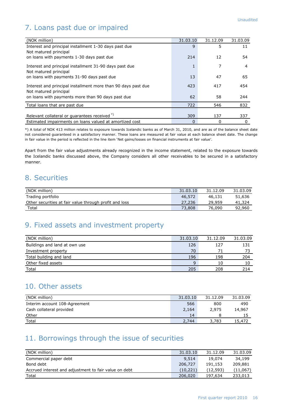## 7. Loans past due or impaired

| (NOK million)                                                                          | 31.03.10 | 31.12.09 | 31.03.09 |
|----------------------------------------------------------------------------------------|----------|----------|----------|
| Interest and principal installment 1-30 days past due                                  | 9        | 5        | 11       |
| Not matured principal                                                                  |          |          |          |
| on loans with payments 1-30 days past due                                              | 214      | 12       | 54       |
| Interest and principal installment 31-90 days past due<br>Not matured principal        |          | 7        | 4        |
| on loans with payments 31-90 days past due                                             | 13       | 47       | 65       |
| Interest and principal installment more than 90 days past due<br>Not matured principal | 423      | 417      | 454      |
| on loans with payments more than 90 days past due                                      | 62       | 58       | 244      |
| Total loans that are past due                                                          | 722      | 546      | 832      |
|                                                                                        |          |          |          |
| Relevant collateral or guarantees received <sup>*)</sup>                               | 309      | 137      | 337      |
| Estimated impairments on loans valued at amortized cost                                | 0        | 0        | 0        |

\*) A total of NOK 413 million relates to exposure towards Icelandic banks as of March 31, 2010, and are as of the balance sheet date not considered guaranteed in a satisfactory manner. These loans are measured at fair value at each balance sheet date. The change in fair value in the period is reflected in the line item 'Net gains/losses on financial instruments at fair value'.

Apart from the fair value adjustments already recognized in the income statement, related to the exposure towards the Icelandic banks discussed above, the Company considers all other receivables to be secured in a satisfactory manner.

#### 8. Securities

| (NOK million)                                          | 31.03.10 | 31.12.09 | 31.03.09 |
|--------------------------------------------------------|----------|----------|----------|
| Trading portfolio                                      | 46,572   | 46,131   | 51,636   |
| Other securities at fair value through profit and loss | 27,236   | 29,959   | 41,324   |
| Total                                                  | 73,808   | 76,090   | 92,960   |

#### 9. Fixed assets and investment property

| (NOK million)                 | 31.03.10 | 31.12.09 | 31.03.09 |
|-------------------------------|----------|----------|----------|
| Buildings and land at own use | 126      | 127      | 131      |
| Investment property           | 70       | 71       |          |
| Total building and land       | 196      | 198      | 204      |
| Other fixed assets            | $\Omega$ | 10       | 10       |
| Total                         | 205      | 208      | 214      |

#### 10. Other assets

| (NOK million)                 | 31.03.10 | 31.12.09 | 31.03.09 |
|-------------------------------|----------|----------|----------|
| Interim account 108-Agreement | 566      | 800      | 490      |
| Cash collateral provided      | 2,164    | 2,975    | 14,967   |
| Other                         | 14       |          |          |
| Total                         | 2.744    | 3,783    | 15,472   |

#### 11. Borrowings through the issue of securities

| (NOK million)                                         | 31.03.10 | 31.12.09 | 31.03.09 |
|-------------------------------------------------------|----------|----------|----------|
| Commercial paper debt                                 | 9,514    | 19,074   | 34,199   |
| Bond debt                                             | 206,727  | 191,153  | 209,881  |
| Accrued interest and adjustment to fair value on debt | (10.221) | (12.593) | (11,067) |
| Total                                                 | 206,020  | 197,634  | 233,013  |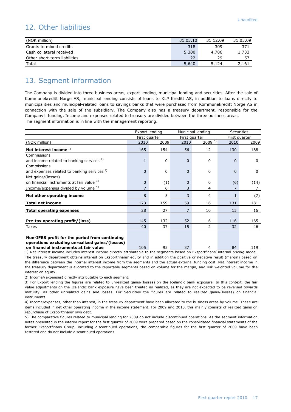## 12. Other liabilities

| (NOK million)                | 31.03.10 | 31.12.09 | 31.03.09 |
|------------------------------|----------|----------|----------|
| Grants to mixed credits      | 318      | 309      | 371      |
| Cash collateral received     | 5,300    | 4,786    | 1,733    |
| Other short-term liabilities | 22       | 29       |          |
| Total                        | 5,640    | 5,124    | 2,161    |

#### 13. Segment information

The Company is divided into three business areas, export lending, municipal lending and securities. After the sale of Kommunekreditt Norge AS, municipal lending consists of loans to KLP Kreditt AS, in addition to loans directly to municipalities and municipal-related loans to savings banks that were purchased from Kommunekreditt Norge AS in connection with the sale of the subsidiary. The Company also has a treasury department, responsible for the Company"s funding. Income and expenses related to treasury are divided between the three business areas. The segment information is in line with the management reporting.

|                                                        | Export lending |          |          | Municipal lending | <b>Securities</b> |          |
|--------------------------------------------------------|----------------|----------|----------|-------------------|-------------------|----------|
|                                                        | First quarter  |          |          | First quarter     | First quarter     |          |
| (NOK million)                                          | 2010           | 2009     | 2010     | $2009^{5}$        | 2010              | 2009     |
| Net interest income $1$                                | 165            | 154      | 56       | 12                | 130               | 188      |
| Commissions                                            |                |          |          |                   |                   |          |
| and income related to banking services <sup>2)</sup>   | $\mathbf{1}$   | $\Omega$ | $\Omega$ | $\Omega$          | $\Omega$          | $\Omega$ |
| Commissions                                            |                |          |          |                   |                   |          |
| and expenses related to banking services <sup>2)</sup> | $\Omega$       | 0        | $\Omega$ | 0                 | $\Omega$          | 0        |
| Net gains/(losses)                                     |                |          |          |                   |                   |          |
| on financial instruments at fair value 3)              | 0              | (1)      | $\Omega$ | 0                 | (6)               | (14)     |
| Income/expenses divided by volume <sup>4)</sup>        | 7              | 6        | 3        | 4                 |                   |          |
| Net other operating income                             | 8              | 5        | 3        | 4                 | 1                 | (7)      |
| <b>Total net income</b>                                | 173            | 159      | 59       | 16                | 131               | 181      |
| <b>Total operating expenses</b>                        | 28             | 27       | 7        | 10                | 15                | 16       |
|                                                        |                |          |          |                   |                   |          |
| Pre-tax operating profit/(loss)                        | 145            | 132      | 52       | 6                 | 116               | 165      |
| Taxes                                                  | 40             | 37       | 15       | 2                 | 32                | 46       |
| Non-IFRS profit for the period from continuing         |                |          |          |                   |                   |          |

**operations excluding unrealized gains/(losses) on financial instruments at fair value** 105 105 95 37 4 84 119

1) Net interest income includes interest income directly attributable to the segments based on Eksportfinans" internal pricing model. The treasury department obtains interest on Eksportfinans' equity and in addition the positive or negative result (margin) based on the difference between the internal interest income from the segments and the actual external funding cost. Net interest income in the treasury department is allocated to the reportable segments based on volume for the margin, and risk weighted volume for the interest on equity.

2) Income/(expenses) directly attributable to each segment.

3) For Export lending the figures are related to unrealized gains/(losses) on the Icelandic bank exposure. In this context, the fair value adjustments on the Icelandic bank exposure have been treated as realized, as they are not expected to be reversed towards maturity, as other unrealized gains and losses. For Securities the figures are related to realized gains/(losses) on financial instruments.

4) Income/expenses, other than interest, in the treasury department have been allocated to the business areas by volume. These are items included in net other operating income in the income statement. For 2009 and 2010, this mainly consists of realized gains on repurchase of Eksportfinans" own debt.

5) The comparative figures related to municipal lending for 2009 do not include discontinued operations. As the segment information notes presented in the interim report for the first quarter of 2009 were prepared based on the consolidated financial statements of the former Eksportfinans Group, including discontinued operations, the comparable figures for the first quarter of 2009 have been restated and do not include discontinued operations.